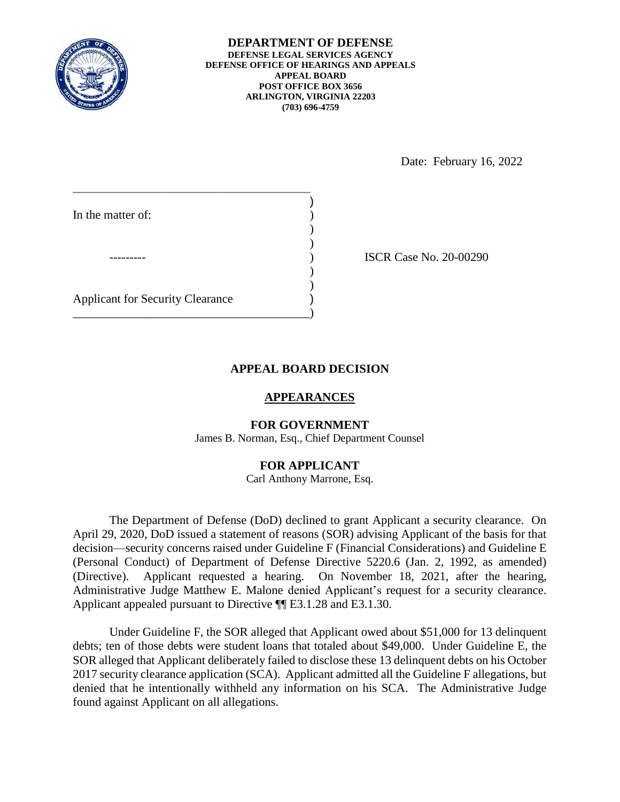

**DEPARTMENT OF DEFENSE DEFENSE LEGAL SERVICES AGENCY DEFENSE OFFICE OF HEARINGS AND APPEALS APPEAL BOARD POST OFFICE BOX 3656 ARLINGTON, VIRGINIA 22203 (703) 696-4759** 

Date: February 16, 2022

| In the matter of:                       |  |
|-----------------------------------------|--|
|                                         |  |
|                                         |  |
|                                         |  |
|                                         |  |
| <b>Applicant for Security Clearance</b> |  |

\_\_\_\_\_\_\_\_\_\_\_\_\_\_\_\_\_\_\_\_\_\_\_\_\_\_\_\_\_\_\_\_\_\_\_\_\_\_\_)

) ISCR Case No. 20-00290

## **APPEAL BOARD DECISION**

### **APPEARANCES**

# **FOR GOVERNMENT**

James B. Norman, Esq., Chief Department Counsel

### **FOR APPLICANT**

Carl Anthony Marrone, Esq.

 The Department of Defense (DoD) declined to grant Applicant a security clearance. On April 29, 2020, DoD issued a statement of reasons (SOR) advising Applicant of the basis for that decision—security concerns raised under Guideline F (Financial Considerations) and Guideline E (Personal Conduct) of Department of Defense Directive 5220.6 (Jan. 2, 1992, as amended) Administrative Judge Matthew E. Malone denied Applicant's request for a security clearance. (Directive). Applicant requested a hearing. On November 18, 2021, after the hearing, Applicant appealed pursuant to Directive ¶¶ E3.1.28 and E3.1.30.

 debts; ten of those debts were student loans that totaled about \$49,000. Under Guideline E, the 2017 security clearance application (SCA). Applicant admitted all the Guideline F allegations, but denied that he intentionally withheld any information on his SCA. The Administrative Judge Under Guideline F, the SOR alleged that Applicant owed about \$51,000 for 13 delinquent SOR alleged that Applicant deliberately failed to disclose these 13 delinquent debts on his October found against Applicant on all allegations.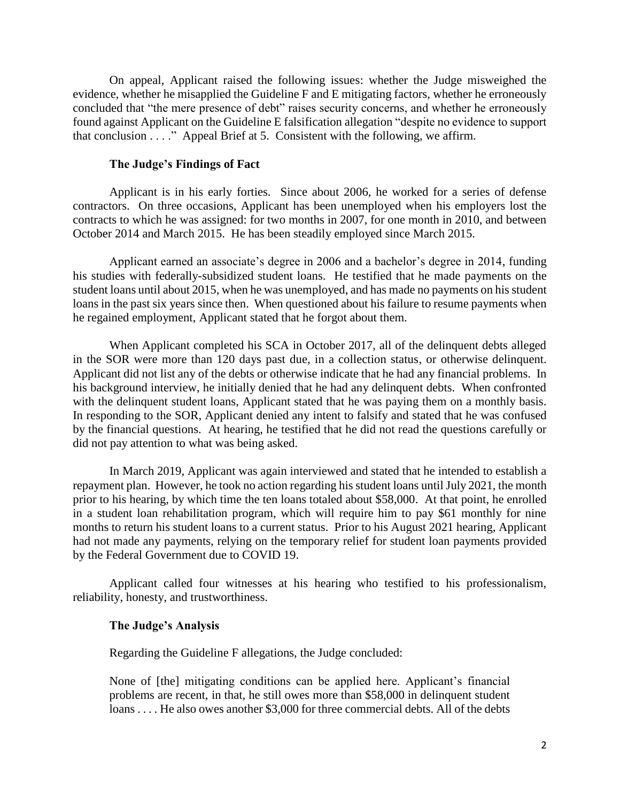On appeal, Applicant raised the following issues: whether the Judge misweighed the evidence, whether he misapplied the Guideline F and E mitigating factors, whether he erroneously concluded that "the mere presence of debt" raises security concerns, and whether he erroneously found against Applicant on the Guideline E falsification allegation "despite no evidence to support that conclusion . . . ." Appeal Brief at 5. Consistent with the following, we affirm.

### **The Judge's Findings of Fact**

 contracts to which he was assigned: for two months in 2007, for one month in 2010, and between Applicant is in his early forties. Since about 2006, he worked for a series of defense contractors. On three occasions, Applicant has been unemployed when his employers lost the October 2014 and March 2015. He has been steadily employed since March 2015.

 Applicant earned an associate's degree in 2006 and a bachelor's degree in 2014, funding his studies with federally-subsidized student loans. He testified that he made payments on the student loans until about 2015, when he was unemployed, and has made no payments on his student loans in the past six years since then. When questioned about his failure to resume payments when he regained employment, Applicant stated that he forgot about them.

 When Applicant completed his SCA in October 2017, all of the delinquent debts alleged in the SOR were more than 120 days past due, in a collection status, or otherwise delinquent. Applicant did not list any of the debts or otherwise indicate that he had any financial problems. In his background interview, he initially denied that he had any delinquent debts. When confronted with the delinquent student loans, Applicant stated that he was paying them on a monthly basis. by the financial questions. At hearing, he testified that he did not read the questions carefully or In responding to the SOR, Applicant denied any intent to falsify and stated that he was confused did not pay attention to what was being asked.

 in a student loan rehabilitation program, which will require him to pay \$61 monthly for nine had not made any payments, relying on the temporary relief for student loan payments provided by the Federal Government due to COVID 19. In March 2019, Applicant was again interviewed and stated that he intended to establish a repayment plan. However, he took no action regarding his student loans until July 2021, the month prior to his hearing, by which time the ten loans totaled about \$58,000. At that point, he enrolled months to return his student loans to a current status. Prior to his August 2021 hearing, Applicant

Applicant called four witnesses at his hearing who testified to his professionalism, reliability, honesty, and trustworthiness.

#### **The Judge's Analysis**

Regarding the Guideline F allegations, the Judge concluded:

 problems are recent, in that, he still owes more than \$58,000 in delinquent student None of [the] mitigating conditions can be applied here. Applicant's financial loans . . . . He also owes another \$3,000 for three commercial debts. All of the debts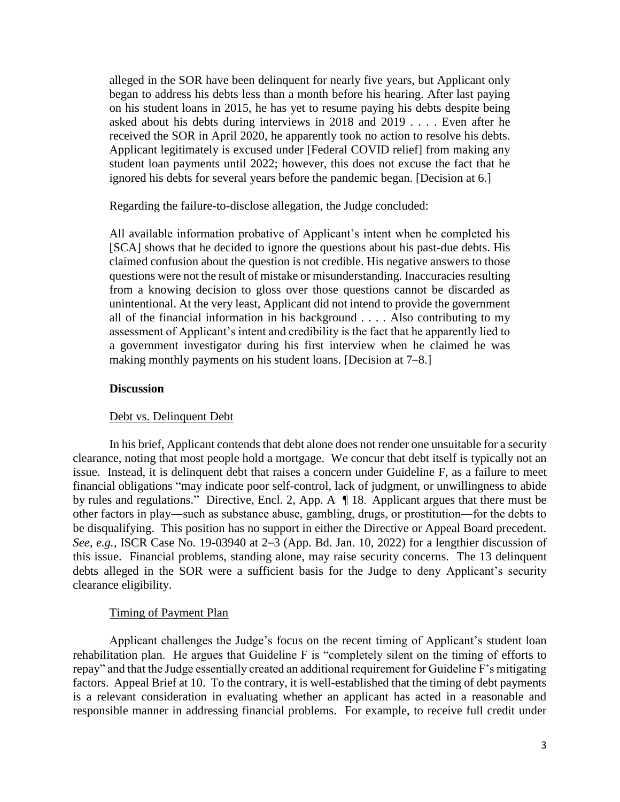alleged in the SOR have been delinquent for nearly five years, but Applicant only on his student loans in 2015, he has yet to resume paying his debts despite being received the SOR in April 2020, he apparently took no action to resolve his debts. Applicant legitimately is excused under [Federal COVID relief] from making any began to address his debts less than a month before his hearing. After last paying asked about his debts during interviews in 2018 and 2019 . . . . Even after he student loan payments until 2022; however, this does not excuse the fact that he ignored his debts for several years before the pandemic began. [Decision at 6.]

Regarding the failure-to-disclose allegation, the Judge concluded:

 [SCA] shows that he decided to ignore the questions about his past-due debts. His questions were not the result of mistake or misunderstanding. Inaccuracies resulting from a knowing decision to gloss over those questions cannot be discarded as assessment of Applicant's intent and credibility is the fact that he apparently lied to a government investigator during his first interview when he claimed he was making monthly payments on his student loans. [Decision at 7–8.] All available information probative of Applicant's intent when he completed his claimed confusion about the question is not credible. His negative answers to those unintentional. At the very least, Applicant did not intend to provide the government all of the financial information in his background . . . . Also contributing to my

#### **Discussion**

#### Debt vs. Delinquent Debt

 In his brief, Applicant contends that debt alone does not render one unsuitable for a security by rules and regulations." Directive, Encl. 2, App. A ¶ 18. Applicant argues that there must be other factors in play―such as substance abuse, gambling, drugs, or prostitution―for the debts to be disqualifying. This position has no support in either the Directive or Appeal Board precedent. *See, e.g.,* ISCR Case No. 19-03940 at 2–3 (App. Bd. Jan. 10, 2022) for a lengthier discussion of this issue. Financial problems, standing alone, may raise security concerns. The 13 delinquent debts alleged in the SOR were a sufficient basis for the Judge to deny Applicant's security clearance, noting that most people hold a mortgage. We concur that debt itself is typically not an issue. Instead, it is delinquent debt that raises a concern under Guideline F, as a failure to meet financial obligations "may indicate poor self-control, lack of judgment, or unwillingness to abide clearance eligibility.

#### Timing of Payment Plan

 rehabilitation plan. He argues that Guideline F is "completely silent on the timing of efforts to repay" and that the Judge essentially created an additional requirement for Guideline F's mitigating factors. Appeal Brief at 10. To the contrary, it is well-established that the timing of debt payments is a relevant consideration in evaluating whether an applicant has acted in a reasonable and responsible manner in addressing financial problems. For example, to receive full credit under Applicant challenges the Judge's focus on the recent timing of Applicant's student loan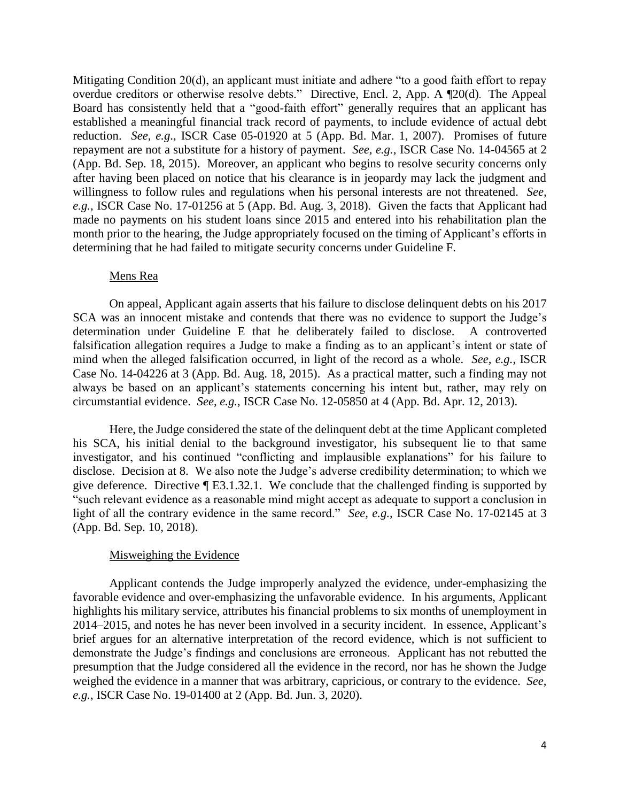Mitigating Condition 20(d), an applicant must initiate and adhere "to a good faith effort to repay overdue creditors or otherwise resolve debts." Directive, Encl. 2, App. A ¶20(d). The Appeal Board has consistently held that a "good-faith effort" generally requires that an applicant has established a meaningful financial track record of payments, to include evidence of actual debt reduction. *See, e.g*., ISCR Case 05-01920 at 5 (App. Bd. Mar. 1, 2007). Promises of future repayment are not a substitute for a history of payment. *See, e.g.,* ISCR Case No. 14-04565 at 2 (App. Bd. Sep. 18, 2015). Moreover, an applicant who begins to resolve security concerns only after having been placed on notice that his clearance is in jeopardy may lack the judgment and willingness to follow rules and regulations when his personal interests are not threatened. *See, e.g.*, ISCR Case No. 17-01256 at 5 (App. Bd. Aug. 3, 2018). Given the facts that Applicant had made no payments on his student loans since 2015 and entered into his rehabilitation plan the month prior to the hearing, the Judge appropriately focused on the timing of Applicant's efforts in determining that he had failed to mitigate security concerns under Guideline F.

### Mens Rea

 determination under Guideline E that he deliberately failed to disclose. A controverted falsification allegation requires a Judge to make a finding as to an applicant's intent or state of mind when the alleged falsification occurred, in light of the record as a whole. *See, e.g.*, ISCR Case No. 14-04226 at 3 (App. Bd. Aug. 18, 2015). As a practical matter, such a finding may not always be based on an applicant's statements concerning his intent but, rather, may rely on On appeal, Applicant again asserts that his failure to disclose delinquent debts on his 2017 SCA was an innocent mistake and contends that there was no evidence to support the Judge's circumstantial evidence. *See, e.g.*, ISCR Case No. 12-05850 at 4 (App. Bd. Apr. 12, 2013).

 his SCA, his initial denial to the background investigator, his subsequent lie to that same investigator, and his continued "conflicting and implausible explanations" for his failure to disclose. Decision at 8. We also note the Judge's adverse credibility determination; to which we give deference. Directive ¶ E3.1.32.1. We conclude that the challenged finding is supported by light of all the contrary evidence in the same record." *See, e.g.,* ISCR Case No. 17-02145 at 3 Here, the Judge considered the state of the delinquent debt at the time Applicant completed "such relevant evidence as a reasonable mind might accept as adequate to support a conclusion in (App. Bd. Sep. 10, 2018).

### Misweighing the Evidence

 2014–2015, and notes he has never been involved in a security incident. In essence, Applicant's demonstrate the Judge's findings and conclusions are erroneous. Applicant has not rebutted the weighed the evidence in a manner that was arbitrary, capricious, or contrary to the evidence. *See,*  Applicant contends the Judge improperly analyzed the evidence, under-emphasizing the favorable evidence and over-emphasizing the unfavorable evidence. In his arguments, Applicant highlights his military service, attributes his financial problems to six months of unemployment in brief argues for an alternative interpretation of the record evidence, which is not sufficient to presumption that the Judge considered all the evidence in the record, nor has he shown the Judge *e.g.*, ISCR Case No. 19-01400 at 2 (App. Bd. Jun. 3, 2020).